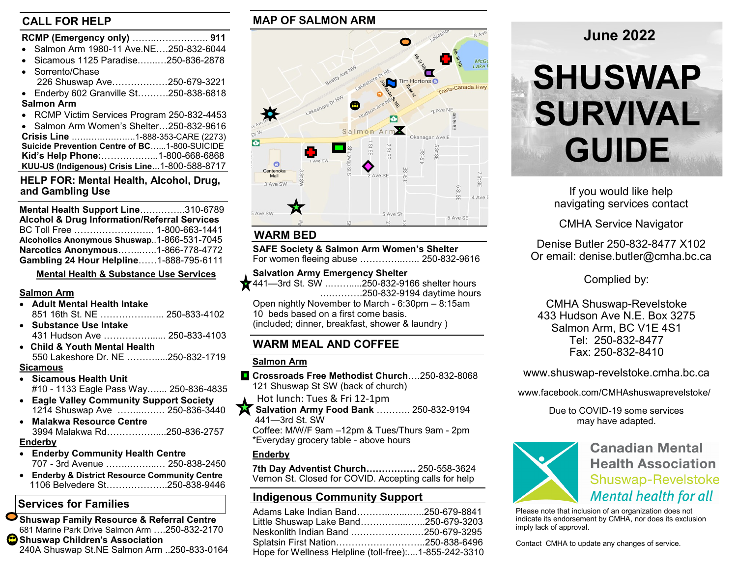#### **CALL FOR HELP**

| RCMP (Emergency only)  911                   |
|----------------------------------------------|
| • Salmon Arm 1980-11 Ave.NE250-832-6044      |
| Sicamous 1125 Paradise250-836-2878           |
| • Sorrento/Chase                             |
| 226 Shuswap Ave250-679-3221                  |
| • Enderby 602 Granville St250-838-6818       |
| <b>Salmon Arm</b>                            |
| • RCMP Victim Services Program 250-832-4453  |
| • Salmon Arm Women's Shelter250-832-9616     |
|                                              |
| Suicide Prevention Centre of BC1-800-SUICIDE |
| Kid's Help Phone:1-800-668-6868              |

# **HELP FOR: Mental Health, Alcohol, Drug,**

**KUU-US (Indigenous) Crisis Line**...1-800-588-8717

| Mental Health Support Line310-6789                      |  |
|---------------------------------------------------------|--|
| <b>Alcohol &amp; Drug Information/Referral Services</b> |  |
|                                                         |  |
| Alcoholics Anonymous Shuswap1-866-531-7045              |  |
| Narcotics Anonymous1-866-778-4772                       |  |
| Gambling 24 Hour Helpline1-888-795-6111                 |  |

**Mental Health & Substance Use Services**

#### **Salmon Arm**

- **Adult Mental Health Intake** 851 16th St. NE …………….….. 250-833-4102
- **Substance Use Intake**  431 Hudson Ave ……………...... 250-833-4103
- **Child & Youth Mental Health** 550 Lakeshore Dr. NE ……….....250-832-1719

#### **Sicamous**

- **Sicamous Health Unit**  #10 - 1133 Eagle Pass Way….... 250-836-4835
- **Eagle Valley Community Support Society** 1214 Shuswap Ave ……...….… 250-836-3440
- **Malakwa Resource Centre** 3994 Malakwa Rd…………….....250-836-2757

#### **Enderby**

- **Enderby Community Health Centre** 707 - 3rd Avenue ……..……...… 250-838-2450
- **Enderby & District Resource Community Centre** 1106 Belvedere St………………..250-838-9446

## **Services for Families**

**Shuswap Family Resource & Referral Centre**  681 Marine Park Drive Salmon Arm ….250-832-2170 **Shuswap Children's Association** 240A Shuswap St.NE Salmon Arm ..250-833-0164

### **MAP OF SALMON ARM**



#### **WARM BED**

**SAFE Society & Salmon Arm Women's Shelter** For women fleeing abuse …………..…... 250-832-9616

- **Salvation Army Emergency Shelter**
- 441—3rd St. SW ..…….....250-832-9166 shelter hours ….……….250-832-9194 daytime hours Open nightly November to March - 6:30pm – 8:15am
	- 10 beds based on a first come basis.

(included; dinner, breakfast, shower & laundry )

#### **WARM MEAL AND COFFEE**

#### **Salmon Arm**

- **Crossroads Free Methodist Church**….250-832-8068 121 Shuswap St SW (back of church)
- Hot lunch: Tues & Fri 12-1pm
- **X** Salvation Army Food Bank ........... 250-832-9194 441—3rd St. SW
	- Coffee: M/W/F 9am –12pm & Tues/Thurs 9am 2pm \*Everyday grocery table - above hours

#### **Enderby**

**7th Day Adventist Church…………….** 250-558-3624 Vernon St. Closed for COVID. Accepting calls for help

#### **Indigenous Community Support**

| Adams Lake Indian Band250-679-8841                    |  |
|-------------------------------------------------------|--|
| Little Shuswap Lake Band250-679-3203                  |  |
| Neskonlith Indian Band 250-679-3295                   |  |
|                                                       |  |
| Hope for Wellness Helpline (toll-free):1-855-242-3310 |  |

## **June 2022**

# **SHUSWAP SURVIVAL GUIDE**

navigating services contact

CMHA Service Navigator

Denise Butler 250-832-8477 X102 Or email: denise.butler@cmha.bc.ca

Complied by:

CMHA Shuswap-Revelstoke 433 Hudson Ave N.E. Box 3275 Salmon Arm, BC V1E 4S1 Tel: 250-832-8477 Fax: 250-832-8410

www.shuswap-revelstoke.cmha.bc.ca

www.facebook.com/CMHAshuswaprevelstoke/

Due to COVID-19 some services may have adapted.



**Canadian Mental Health Association Shuswap-Revelstoke Mental health for all** 

Please note that inclusion of an organization does not indicate its endorsement by CMHA, nor does its exclusion imply lack of approval.

Contact CMHA to update any changes of service.